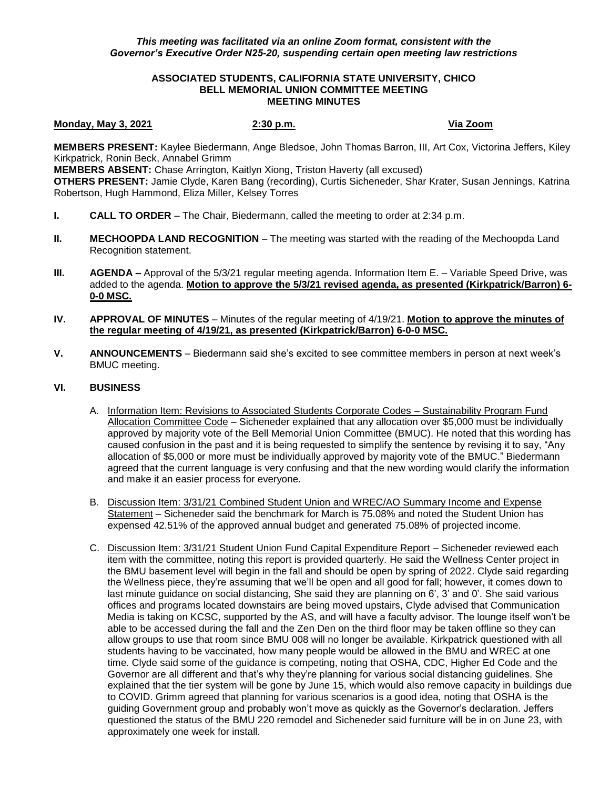## **ASSOCIATED STUDENTS, CALIFORNIA STATE UNIVERSITY, CHICO BELL MEMORIAL UNION COMMITTEE MEETING MEETING MINUTES**

**Monday, May 3, 2021 2:30 p.m. Via Zoom**

**MEMBERS PRESENT:** Kaylee Biedermann, Ange Bledsoe, John Thomas Barron, III, Art Cox, Victorina Jeffers, Kiley Kirkpatrick, Ronin Beck, Annabel Grimm

**MEMBERS ABSENT:** Chase Arrington, Kaitlyn Xiong, Triston Haverty (all excused) **OTHERS PRESENT:** Jamie Clyde, Karen Bang (recording), Curtis Sicheneder, Shar Krater, Susan Jennings, Katrina Robertson, Hugh Hammond, Eliza Miller, Kelsey Torres

- **I. CALL TO ORDER**  The Chair, Biedermann, called the meeting to order at 2:34 p.m.
- **II. MECHOOPDA LAND RECOGNITION** The meeting was started with the reading of the Mechoopda Land Recognition statement.
- **III. <b>AGENDA** Approval of the 5/3/21 regular meeting agenda. Information Item E. Variable Speed Drive, was added to the agenda. **Motion to approve the 5/3/21 revised agenda, as presented (Kirkpatrick/Barron) 6- 0-0 MSC.**
- **IV. APPROVAL OF MINUTES** Minutes of the regular meeting of 4/19/21. **Motion to approve the minutes of the regular meeting of 4/19/21, as presented (Kirkpatrick/Barron) 6-0-0 MSC.**
- **V. ANNOUNCEMENTS** Biedermann said she's excited to see committee members in person at next week's BMUC meeting.

## **VI. BUSINESS**

- A. Information Item: Revisions to Associated Students Corporate Codes Sustainability Program Fund Allocation Committee Code – Sicheneder explained that any allocation over \$5,000 must be individually approved by majority vote of the Bell Memorial Union Committee (BMUC). He noted that this wording has caused confusion in the past and it is being requested to simplify the sentence by revising it to say, "Any allocation of \$5,000 or more must be individually approved by majority vote of the BMUC." Biedermann agreed that the current language is very confusing and that the new wording would clarify the information and make it an easier process for everyone.
- B. Discussion Item: 3/31/21 Combined Student Union and WREC/AO Summary Income and Expense Statement – Sicheneder said the benchmark for March is 75.08% and noted the Student Union has expensed 42.51% of the approved annual budget and generated 75.08% of projected income.
- C. Discussion Item: 3/31/21 Student Union Fund Capital Expenditure Report Sicheneder reviewed each item with the committee, noting this report is provided quarterly. He said the Wellness Center project in the BMU basement level will begin in the fall and should be open by spring of 2022. Clyde said regarding the Wellness piece, they're assuming that we'll be open and all good for fall; however, it comes down to last minute guidance on social distancing, She said they are planning on 6', 3' and 0'. She said various offices and programs located downstairs are being moved upstairs, Clyde advised that Communication Media is taking on KCSC, supported by the AS, and will have a faculty advisor. The lounge itself won't be able to be accessed during the fall and the Zen Den on the third floor may be taken offline so they can allow groups to use that room since BMU 008 will no longer be available. Kirkpatrick questioned with all students having to be vaccinated, how many people would be allowed in the BMU and WREC at one time. Clyde said some of the guidance is competing, noting that OSHA, CDC, Higher Ed Code and the Governor are all different and that's why they're planning for various social distancing guidelines. She explained that the tier system will be gone by June 15, which would also remove capacity in buildings due to COVID. Grimm agreed that planning for various scenarios is a good idea, noting that OSHA is the guiding Government group and probably won't move as quickly as the Governor's declaration. Jeffers questioned the status of the BMU 220 remodel and Sicheneder said furniture will be in on June 23, with approximately one week for install.